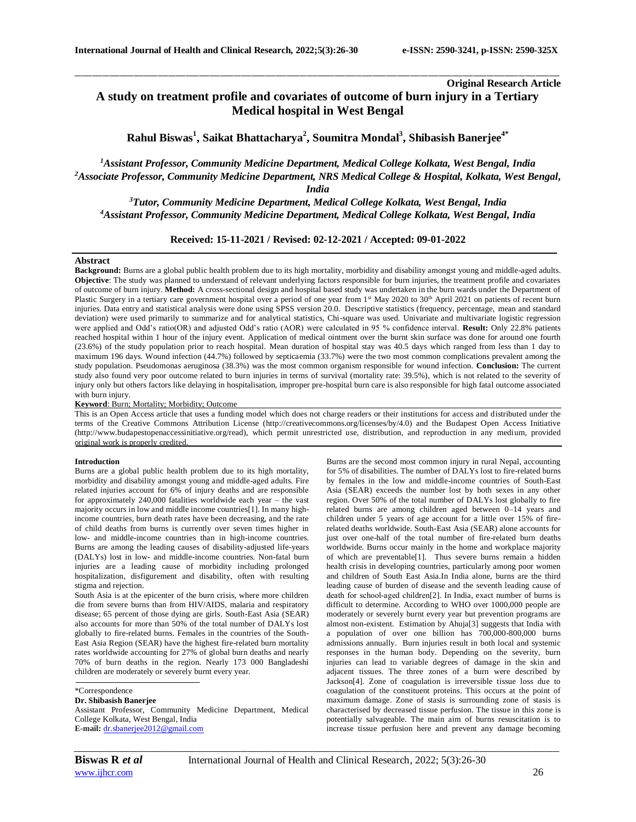# **Original Research Article A study on treatment profile and covariates of outcome of burn injury in a Tertiary Medical hospital in West Bengal**

**Rahul Biswas<sup>1</sup> , Saikat Bhattacharya<sup>2</sup> , Soumitra Mondal<sup>3</sup> , Shibasish Banerjee4\***

\_\_\_\_\_\_\_\_\_\_\_\_\_\_\_\_\_\_\_\_\_\_\_\_\_\_\_\_\_\_\_\_\_\_\_\_\_\_\_\_\_\_\_\_\_\_\_\_\_\_\_\_\_\_\_\_\_\_\_\_\_\_\_\_\_\_\_\_\_\_\_\_\_\_\_\_\_\_\_\_\_\_\_\_\_\_\_\_\_\_\_\_\_\_\_\_\_\_\_\_\_\_\_\_\_\_\_\_\_\_\_\_\_\_\_\_\_\_\_\_\_\_\_\_\_\_\_\_\_\_\_\_\_\_\_\_\_\_\_\_

*<sup>1</sup>Assistant Professor, Community Medicine Department, Medical College Kolkata, West Bengal, India <sup>2</sup>Associate Professor, Community Medicine Department, NRS Medical College & Hospital, Kolkata, West Bengal, India*

*<sup>3</sup>Tutor, Community Medicine Department, Medical College Kolkata, West Bengal, India <sup>4</sup>Assistant Professor, Community Medicine Department, Medical College Kolkata, West Bengal, India*

**Received: 15-11-2021 / Revised: 02-12-2021 / Accepted: 09-01-2022**

#### **Abstract**

**Background:** Burns are a global public health problem due to its high mortality, morbidity and disability amongst young and middle-aged adults. **Objective**: The study was planned to understand of relevant underlying factors responsible for burn injuries, the treatment profile and covariates of outcome of burn injury. **Method:** A cross-sectional design and hospital based study was undertaken in the burn wards under the Department of Plastic Surgery in a tertiary care government hospital over a period of one year from  $1<sup>st</sup>$  May 2020 to 30<sup>th</sup> April 2021 on patients of recent burn injuries. Data entry and statistical analysis were done using SPSS version 20.0. Descriptive statistics (frequency, percentage, mean and standard deviation) were used primarily to summarize and for analytical statistics, Chi-square was used. Univariate and multivariate logistic regression were applied and Odd's ratio(OR) and adjusted Odd's ratio (AOR) were calculated in 95 % confidence interval. **Result:** Only 22.8% patients reached hospital within 1 hour of the injury event. Application of medical ointment over the burnt skin surface was done for around one fourth (23.6%) of the study population prior to reach hospital. Mean duration of hospital stay was 40.5 days which ranged from less than 1 day to maximum 196 days. Wound infection (44.7%) followed by septicaemia (33.7%) were the two most common complications prevalent among the study population. Pseudomonas aeruginosa (38.3%) was the most common organism responsible for wound infection. **Conclusion:** The current study also found very poor outcome related to burn injuries in terms of survival (mortality rate: 39.5%), which is not related to the severity of injury only but others factors like delaying in hospitalisation, improper pre-hospital burn care is also responsible for high fatal outcome associated with burn injury.

**Keyword**: Burn; Mortality; Morbidity; Outcome

This is an Open Access article that uses a funding model which does not charge readers or their institutions for access and distributed under the terms of the Creative Commons Attribution License (http://creativecommons.org/licenses/by/4.0) and the Budapest Open Access Initiative (http://www.budapestopenaccessinitiative.org/read), which permit unrestricted use, distribution, and reproduction in any medium, provided original work is properly credited.

#### **Introduction**

Burns are a global public health problem due to its high mortality, morbidity and disability amongst young and middle-aged adults. Fire related injuries account for 6% of injury deaths and are responsible for approximately 240,000 fatalities worldwide each year – the vast majority occurs in low and middle income countries[1]. In many highincome countries, burn death rates have been decreasing, and the rate of child deaths from burns is currently over seven times higher in low- and middle-income countries than in high-income countries. Burns are among the leading causes of disability-adjusted life-years (DALYs) lost in low- and middle-income countries. Non-fatal burn injuries are a leading cause of morbidity including prolonged hospitalization, disfigurement and disability, often with resulting stigma and rejection.

South Asia is at the epicenter of the burn crisis, where more children die from severe burns than from HIV/AIDS, malaria and respiratory disease; 65 percent of those dying are girls. South-East Asia (SEAR) also accounts for more than 50% of the total number of DALYs lost globally to fire-related burns. Females in the countries of the South-East Asia Region (SEAR) have the highest fire-related burn mortality rates worldwide accounting for 27% of global burn deaths and nearly 70% of burn deaths in the region. Nearly 173 000 Bangladeshi children are moderately or severely burnt every year.

# **Dr. Shibasish Banerjee**

Assistant Professor, Community Medicine Department, Medical College Kolkata, West Bengal, India **E-mail:** [dr.sbanerjee2012@gmail.com](mailto:dr.sbanerjee2012@gmail.com)

Burns are the second most common injury in rural Nepal, accounting for 5% of disabilities. The number of DALYs lost to fire-related burns by females in the low and middle-income countries of South-East Asia (SEAR) exceeds the number lost by both sexes in any other region. Over 50% of the total number of DALYs lost globally to fire related burns are among children aged between 0–14 years and children under 5 years of age account for a little over 15% of firerelated deaths worldwide. South-East Asia (SEAR) alone accounts for just over one-half of the total number of fire-related burn deaths worldwide. Burns occur mainly in the home and workplace majority of which are preventable[1]. Thus severe burns remain a hidden health crisis in developing countries, particularly among poor women and children of South East Asia.In India alone, burns are the third leading cause of burden of disease and the seventh leading cause of death for school‐aged children[2]. In India, exact number of burns is difficult to determine. According to WHO over 1000,000 people are moderately or severely burnt every year but prevention programs are almost non-existent. Estimation by Ahuja[3] suggests that India with a population of over one billion has 700,000-800,000 burns admissions annually. Burn injuries result in both local and systemic responses in the human body. Depending on the severity, burn injuries can lead to variable degrees of damage in the skin and adjacent tissues. The three zones of a burn were described by Jackson[4]. Zone of coagulation is irreversible tissue loss due to coagulation of the constituent proteins. This occurs at the point of maximum damage. Zone of stasis is surrounding zone of stasis is characterised by decreased tissue perfusion. The tissue in this zone is potentially salvageable. The main aim of burns resuscitation is to increase tissue perfusion here and prevent any damage becoming

<sup>\*</sup>Correspondence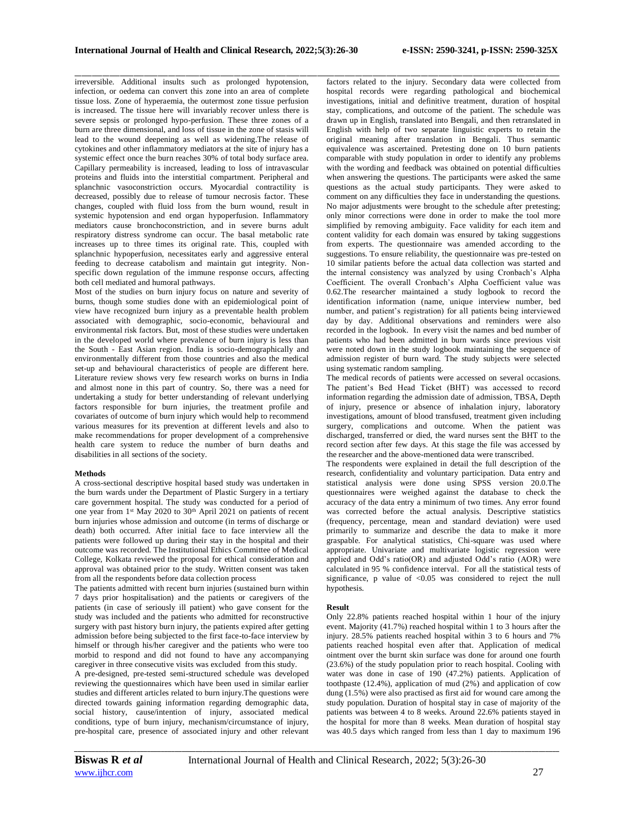\_\_\_\_\_\_\_\_\_\_\_\_\_\_\_\_\_\_\_\_\_\_\_\_\_\_\_\_\_\_\_\_\_\_\_\_\_\_\_\_\_\_\_\_\_\_\_\_\_\_\_\_\_\_\_\_\_\_\_\_\_\_\_\_\_\_\_\_\_\_\_\_\_\_\_\_\_\_\_\_\_\_\_\_\_\_\_\_\_\_\_\_\_\_\_\_\_\_\_\_\_\_\_\_\_\_\_\_\_\_\_\_\_\_\_\_\_\_\_\_\_\_\_\_\_\_\_\_\_\_\_\_\_\_\_\_\_\_\_\_

irreversible. Additional insults such as prolonged hypotension, infection, or oedema can convert this zone into an area of complete tissue loss. Zone of hyperaemia, the outermost zone tissue perfusion is increased. The tissue here will invariably recover unless there is severe sepsis or prolonged hypo-perfusion. These three zones of a burn are three dimensional, and loss of tissue in the zone of stasis will lead to the wound deepening as well as widening.The release of cytokines and other inflammatory mediators at the site of injury has a systemic effect once the burn reaches 30% of total body surface area. Capillary permeability is increased, leading to loss of intravascular proteins and fluids into the interstitial compartment. Peripheral and splanchnic vasoconstriction occurs. Myocardial contractility is decreased, possibly due to release of tumour necrosis factor. These changes, coupled with fluid loss from the burn wound, result in systemic hypotension and end organ hypoperfusion. Inflammatory mediators cause bronchoconstriction, and in severe burns adult respiratory distress syndrome can occur. The basal metabolic rate increases up to three times its original rate. This, coupled with splanchnic hypoperfusion, necessitates early and aggressive enteral feeding to decrease catabolism and maintain gut integrity. Nonspecific down regulation of the immune response occurs, affecting both cell mediated and humoral pathways.

Most of the studies on burn injury focus on nature and severity of burns, though some studies done with an epidemiological point of view have recognized burn injury as a preventable health problem associated with demographic, socio-economic, behavioural and environmental risk factors. But, most of these studies were undertaken in the developed world where prevalence of burn injury is less than the South - East Asian region. India is socio-demographically and environmentally different from those countries and also the medical set-up and behavioural characteristics of people are different here. Literature review shows very few research works on burns in India and almost none in this part of country. So, there was a need for undertaking a study for better understanding of relevant underlying factors responsible for burn injuries, the treatment profile and covariates of outcome of burn injury which would help to recommend various measures for its prevention at different levels and also to make recommendations for proper development of a comprehensive health care system to reduce the number of burn deaths and disabilities in all sections of the society.

#### **Methods**

A cross-sectional descriptive hospital based study was undertaken in the burn wards under the Department of Plastic Surgery in a tertiary care government hospital. The study was conducted for a period of one year from 1st May 2020 to 30th April 2021 on patients of recent burn injuries whose admission and outcome (in terms of discharge or death) both occurred. After initial face to face interview all the patients were followed up during their stay in the hospital and their outcome was recorded. The Institutional Ethics Committee of Medical College, Kolkata reviewed the proposal for ethical consideration and approval was obtained prior to the study. Written consent was taken from all the respondents before data collection process

The patients admitted with recent burn injuries (sustained burn within 7 days prior hospitalisation) and the patients or caregivers of the patients (in case of seriously ill patient) who gave consent for the study was included and the patients who admitted for reconstructive surgery with past history burn injury, the patients expired after getting admission before being subjected to the first face-to-face interview by himself or through his/her caregiver and the patients who were too morbid to respond and did not found to have any accompanying caregiver in three consecutive visits was excluded from this study.

A pre-designed, pre-tested semi-structured schedule was developed reviewing the questionnaires which have been used in similar earlier studies and different articles related to burn injury.The questions were directed towards gaining information regarding demographic data, social history, cause/intention of injury, associated medical conditions, type of burn injury, mechanism/circumstance of injury, pre-hospital care, presence of associated injury and other relevant

factors related to the injury. Secondary data were collected from hospital records were regarding pathological and biochemical investigations, initial and definitive treatment, duration of hospital stay, complications, and outcome of the patient. The schedule was drawn up in English, translated into Bengali, and then retranslated in English with help of two separate linguistic experts to retain the original meaning after translation in Bengali. Thus semantic equivalence was ascertained. Pretesting done on 10 burn patients comparable with study population in order to identify any problems with the wording and feedback was obtained on potential difficulties when answering the questions. The participants were asked the same questions as the actual study participants. They were asked to comment on any difficulties they face in understanding the questions. No major adjustments were brought to the schedule after pretesting; only minor corrections were done in order to make the tool more simplified by removing ambiguity. Face validity for each item and content validity for each domain was ensured by taking suggestions from experts. The questionnaire was amended according to the suggestions. To ensure reliability, the questionnaire was pre-tested on 10 similar patients before the actual data collection was started and the internal consistency was analyzed by using Cronbach's Alpha Coefficient. The overall Cronbach's Alpha Coefficient value was 0.62.The researcher maintained a study logbook to record the identification information (name, unique interview number, bed number, and patient's registration) for all patients being interviewed day by day. Additional observations and reminders were also recorded in the logbook. In every visit the names and bed number of patients who had been admitted in burn wards since previous visit were noted down in the study logbook maintaining the sequence of admission register of burn ward. The study subjects were selected using systematic random sampling.

The medical records of patients were accessed on several occasions. The patient's Bed Head Ticket (BHT) was accessed to record information regarding the admission date of admission, TBSA, Depth of injury, presence or absence of inhalation injury, laboratory investigations, amount of blood transfused, treatment given including surgery, complications and outcome. When the patient was discharged, transferred or died, the ward nurses sent the BHT to the record section after few days. At this stage the file was accessed by the researcher and the above-mentioned data were transcribed.

The respondents were explained in detail the full description of the research, confidentiality and voluntary participation. Data entry and statistical analysis were done using SPSS version 20.0.The questionnaires were weighed against the database to check the accuracy of the data entry a minimum of two times. Any error found was corrected before the actual analysis. Descriptive statistics (frequency, percentage, mean and standard deviation) were used primarily to summarize and describe the data to make it more graspable. For analytical statistics, Chi-square was used where appropriate. Univariate and multivariate logistic regression were applied and Odd's ratio(OR) and adjusted Odd's ratio (AOR) were calculated in 95 % confidence interval. For all the statistical tests of significance, p value of  $\langle 0.05 \rangle$  was considered to reject the null hypothesis.

#### **Result**

Only 22.8% patients reached hospital within 1 hour of the injury event. Majority (41.7%) reached hospital within 1 to 3 hours after the injury. 28.5% patients reached hospital within 3 to 6 hours and 7% patients reached hospital even after that. Application of medical ointment over the burnt skin surface was done for around one fourth (23.6%) of the study population prior to reach hospital. Cooling with water was done in case of 190 (47.2%) patients. Application of toothpaste (12.4%), application of mud  $(2\%)$  and application of cow dung (1.5%) were also practised as first aid for wound care among the study population. Duration of hospital stay in case of majority of the patients was between 4 to 8 weeks. Around 22.6% patients stayed in the hospital for more than 8 weeks. Mean duration of hospital stay was 40.5 days which ranged from less than 1 day to maximum 196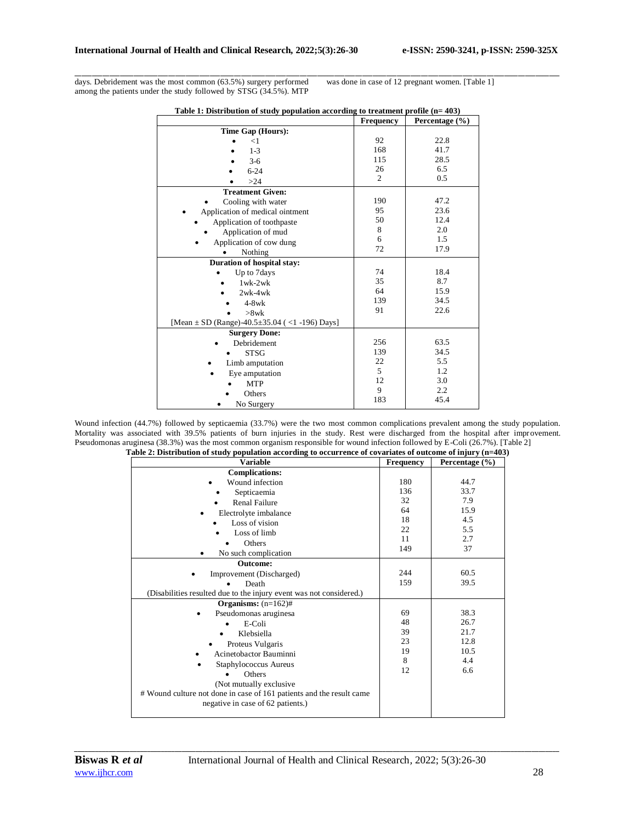days. Debridement was the most common (63.5%) surgery performed among the patients under the study followed by STSG (34.5%). MTP

was done in case of 12 pregnant women. [Table 1]

|                                                         | Frequency | Percentage (%) |
|---------------------------------------------------------|-----------|----------------|
| Time Gap (Hours):                                       |           |                |
| $<$ 1                                                   | 92        | 22.8           |
| $1 - 3$                                                 | 168       | 41.7           |
| $3-6$                                                   | 115       | 28.5           |
| $6 - 24$                                                | 26        | 6.5            |
| >24                                                     | 2         | 0.5            |
| <b>Treatment Given:</b>                                 |           |                |
| Cooling with water                                      | 190       | 47.2           |
| Application of medical ointment                         | 95        | 23.6           |
| Application of toothpaste                               | 50        | 12.4           |
| Application of mud                                      | 8         | 2.0            |
| Application of cow dung                                 | 6         | 1.5            |
| Nothing                                                 | 72        | 17.9           |
| Duration of hospital stay:                              |           |                |
| Up to 7 days                                            | 74        | 18.4           |
| $1$ wk- $2$ wk                                          | 35        | 8.7            |
| $2wk-4wk$                                               | 64        | 15.9           |
| $4-8$ w $k$                                             | 139       | 34.5           |
| $>8$ wk                                                 | 91        | 22.6           |
| [Mean $\pm$ SD (Range)-40.5 $\pm$ 35.04 (<1 -196) Days] |           |                |
| <b>Surgery Done:</b>                                    |           |                |
| Debridement                                             | 256       | 63.5           |
| <b>STSG</b>                                             | 139       | 34.5           |
| Limb amputation                                         | 22        | 5.5            |
| Eye amputation                                          | 5         | 1.2            |
| <b>MTP</b>                                              | 12        | 3.0            |
| Others                                                  | 9         | 2.2            |
| No Surgery                                              | 183       | 45.4           |

|  |  | Table 1: Distribution of study population according to treatment profile $(n=403)$ |
|--|--|------------------------------------------------------------------------------------|
|  |  |                                                                                    |

\_\_\_\_\_\_\_\_\_\_\_\_\_\_\_\_\_\_\_\_\_\_\_\_\_\_\_\_\_\_\_\_\_\_\_\_\_\_\_\_\_\_\_\_\_\_\_\_\_\_\_\_\_\_\_\_\_\_\_\_\_\_\_\_\_\_\_\_\_\_\_\_\_\_\_\_\_\_\_\_\_\_\_\_\_\_\_\_\_\_\_\_\_\_\_\_\_\_\_\_\_\_\_\_\_\_\_\_\_\_\_\_\_\_\_\_\_\_\_\_\_\_\_\_\_\_\_\_\_\_\_\_\_\_\_\_\_\_\_\_

Wound infection (44.7%) followed by septicaemia (33.7%) were the two most common complications prevalent among the study population. Mortality was associated with 39.5% patients of burn injuries in the study. Rest were discharged from the hospital after improvement. Pseudomonas aruginesa (38.3%) was the most common organism responsible for wound infection followed by E-Coli (26.7%). [Table 2]

| <b>Variable</b>                                                      | Frequency | Percentage $(\% )$ |
|----------------------------------------------------------------------|-----------|--------------------|
| <b>Complications:</b>                                                |           |                    |
| Wound infection                                                      | 180       | 44.7               |
| Septicaemia                                                          | 136       | 33.7               |
| <b>Renal Failure</b>                                                 | 32        | 7.9                |
| Electrolyte imbalance                                                | 64        | 15.9               |
| Loss of vision                                                       | 18        | 4.5                |
| Loss of limb                                                         | 22        | 5.5                |
| Others                                                               | 11        | 2.7                |
| No such complication<br>٠                                            | 149       | 37                 |
| <b>Outcome:</b>                                                      |           |                    |
| Improvement (Discharged)                                             | 244       | 60.5               |
| Death                                                                | 159       | 39.5               |
| (Disabilities resulted due to the injury event was not considered.)  |           |                    |
| Organisms: $(n=162)$ #                                               |           |                    |
| Pseudomonas aruginesa                                                | 69        | 38.3               |
| E-Coli                                                               | 48        | 26.7               |
| Klebsiella                                                           | 39        | 21.7               |
| Proteus Vulgaris                                                     | 23        | 12.8               |
| Acinetobactor Bauminni                                               | 19        | 10.5               |
| Staphylococcus Aureus                                                | 8         | 4.4                |
| Others                                                               | 12        | 6.6                |
| (Not mutually exclusive                                              |           |                    |
| # Wound culture not done in case of 161 patients and the result came |           |                    |
| negative in case of 62 patients.)                                    |           |                    |
|                                                                      |           |                    |

| Table 2: Distribution of study population according to occurrence of covariates of outcome of injury $(n=403)$ |  |  |  |  |
|----------------------------------------------------------------------------------------------------------------|--|--|--|--|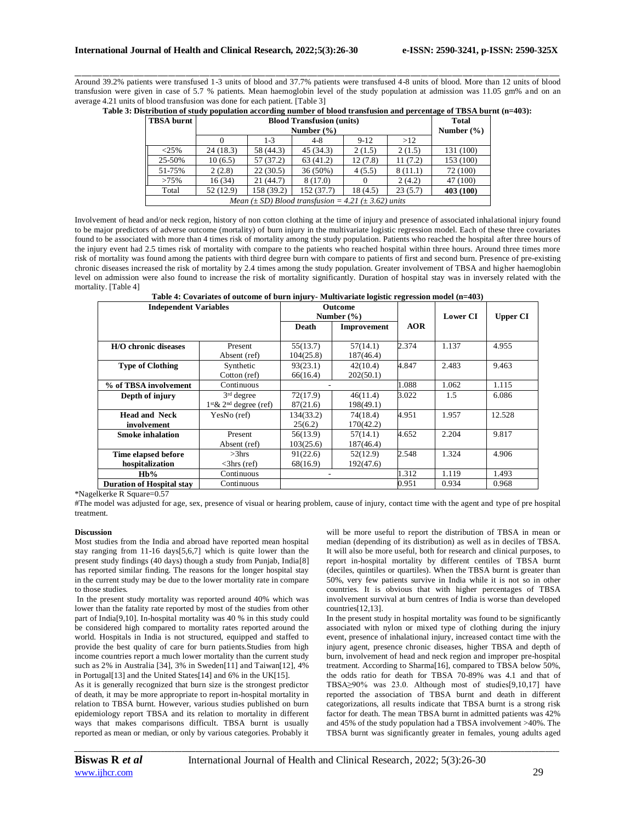\_\_\_\_\_\_\_\_\_\_\_\_\_\_\_\_\_\_\_\_\_\_\_\_\_\_\_\_\_\_\_\_\_\_\_\_\_\_\_\_\_\_\_\_\_\_\_\_\_\_\_\_\_\_\_\_\_\_\_\_\_\_\_\_\_\_\_\_\_\_\_\_\_\_\_\_\_\_\_\_\_\_\_\_\_\_\_\_\_\_\_\_\_\_\_\_\_\_\_\_\_\_\_\_\_\_\_\_\_\_\_\_\_\_\_\_\_\_\_\_\_\_\_\_\_\_\_\_\_\_\_\_\_\_\_\_\_\_\_\_ Around 39.2% patients were transfused 1-3 units of blood and 37.7% patients were transfused 4-8 units of blood. More than 12 units of blood transfusion were given in case of 5.7 % patients. Mean haemoglobin level of the study population at admission was 11.05 gm% and on an average 4.21 units of blood transfusion was done for each patient. [Table 3]

|  |  |  | Table 3: Distribution of study population according number of blood transfusion and percentage of TBSA burnt (n=403): |  |  |
|--|--|--|-----------------------------------------------------------------------------------------------------------------------|--|--|
|--|--|--|-----------------------------------------------------------------------------------------------------------------------|--|--|

|                                                                       | <b>TBSA</b> burnt<br><b>Blood Transfusion (units)</b>       |          |                                     |            |         |           | <b>Total</b> |  |  |
|-----------------------------------------------------------------------|-------------------------------------------------------------|----------|-------------------------------------|------------|---------|-----------|--------------|--|--|
|                                                                       |                                                             |          | Number $(\% )$                      |            |         |           |              |  |  |
|                                                                       |                                                             | 0        | $9-12$<br>>12<br>$1 - 3$<br>$4 - 8$ |            |         |           |              |  |  |
|                                                                       | <25%                                                        | 24(18.3) | 58 (44.3)                           | 45 (34.3)  | 2(1.5)  | 2(1.5)    | 131 (100)    |  |  |
|                                                                       | 25-50%                                                      | 10(6.5)  | 57 (37.2)                           | 63(41.2)   | 12(7.8) | 11(7.2)   | 153 (100)    |  |  |
|                                                                       | 51-75%                                                      | 2(2.8)   | 22(30.5)                            | $36(50\%)$ | 4(5.5)  | 8(11.1)   | 72 (100)     |  |  |
|                                                                       | >75%                                                        | 16(34)   | 21 (44.7)                           | 8(17.0)    |         | 2(4.2)    | 47 (100)     |  |  |
| 52 (12.9)<br>158 (39.2)<br>152 (37.7)<br>18 (4.5)<br>23(5.7)<br>Total |                                                             |          |                                     |            |         | 403 (100) |              |  |  |
|                                                                       | Mean $(\pm SD)$ Blood transfusion = 4.21 $(\pm 3.62)$ units |          |                                     |            |         |           |              |  |  |

Involvement of head and/or neck region, history of non cotton clothing at the time of injury and presence of associated inhalational injury found to be major predictors of adverse outcome (mortality) of burn injury in the multivariate logistic regression model. Each of these three covariates found to be associated with more than 4 times risk of mortality among the study population. Patients who reached the hospital after three hours of the injury event had 2.5 times risk of mortality with compare to the patients who reached hospital within three hours. Around three times more risk of mortality was found among the patients with third degree burn with compare to patients of first and second burn. Presence of pre-existing chronic diseases increased the risk of mortality by 2.4 times among the study population. Greater involvement of TBSA and higher haemoglobin level on admission were also found to increase the risk of mortality significantly. Duration of hospital stay was in inversely related with the mortality. [Table 4]

**Table 4: Covariates of outcome of burn injury- Multivariate logistic regression model (n=403)**

| <b>Independent Variables</b>        |                           | <b>Outcome</b> |                |            |                 |                 |
|-------------------------------------|---------------------------|----------------|----------------|------------|-----------------|-----------------|
|                                     |                           |                | Number $(\% )$ |            | <b>Lower CI</b> | <b>Upper CI</b> |
|                                     |                           | Death          | Improvement    | <b>AOR</b> |                 |                 |
|                                     |                           |                |                |            |                 |                 |
| <b>H/O</b> chronic diseases         | Present                   | 55(13.7)       | 57(14.1)       | 2.374      | 1.137           | 4.955           |
|                                     | Absent (ref)              | 104(25.8)      | 187(46.4)      |            |                 |                 |
| <b>Type of Clothing</b>             | Synthetic                 | 93(23.1)       | 42(10.4)       | 4.847      | 2.483           | 9.463           |
|                                     | Cotton (ref)              | 66(16.4)       | 202(50.1)      |            |                 |                 |
| % of TBSA involvement<br>Continuous |                           |                |                | 1.088      | 1.062           | 1.115           |
| Depth of injury                     | $3rd$ degree              | 72(17.9)       | 46(11.4)       | 3.022      | 1.5             | 6.086           |
|                                     | $1st \& 2nd degree (ref)$ | 87(21.6)       | 198(49.1)      |            |                 |                 |
| <b>Head and Neck</b>                | YesNo (ref)               | 134(33.2)      | 74(18.4)       | 4.951      | 1.957           | 12.528          |
| involvement                         |                           | 25(6.2)        | 170(42.2)      |            |                 |                 |
| <b>Smoke inhalation</b>             | Present                   | 56(13.9)       | 57(14.1)       | 4.652      | 2.204           | 9.817           |
|                                     | Absent (ref)              | 103(25.6)      | 187(46.4)      |            |                 |                 |
| Time elapsed before                 | $>3$ hrs                  | 91(22.6)       | 52(12.9)       | 2.548      | 1.324           | 4.906           |
| hospitalization                     | $\langle$ 3hrs (ref)      | 68(16.9)       | 192(47.6)      |            |                 |                 |
| $Hb\%$                              | Continuous                |                |                | 1.312      | 1.119           | 1.493           |
| <b>Duration of Hospital stay</b>    | Continuous                |                |                | 0.951      | 0.934           | 0.968           |

\*Nagelkerke R Square=0.57

#The model was adjusted for age, sex, presence of visual or hearing problem, cause of injury, contact time with the agent and type of pre hospital treatment.

#### **Discussion**

Most studies from the India and abroad have reported mean hospital stay ranging from 11-16 days[5,6,7] which is quite lower than the present study findings (40 days) though a study from Punjab, India[8] has reported similar finding. The reasons for the longer hospital stay in the current study may be due to the lower mortality rate in compare to those studies.

In the present study mortality was reported around 40% which was lower than the fatality rate reported by most of the studies from other part of India[9,10]. In-hospital mortality was 40 % in this study could be considered high compared to mortality rates reported around the world. Hospitals in India is not structured, equipped and staffed to provide the best quality of care for burn patients.Studies from high income countries report a much lower mortality than the current study such as 2% in Australia [34], 3% in Sweden[11] and Taiwan[12], 4% in Portugal[13] and the United States[14] and 6% in the UK[15].

As it is generally recognized that burn size is the strongest predictor of death, it may be more appropriate to report in-hospital mortality in relation to TBSA burnt. However, various studies published on burn epidemiology report TBSA and its relation to mortality in different ways that makes comparisons difficult. TBSA burnt is usually reported as mean or median, or only by various categories. Probably it

will be more useful to report the distribution of TBSA in mean or median (depending of its distribution) as well as in deciles of TBSA. It will also be more useful, both for research and clinical purposes, to report in-hospital mortality by different centiles of TBSA burnt (deciles, quintiles or quartiles). When the TBSA burnt is greater than 50%, very few patients survive in India while it is not so in other countries. It is obvious that with higher percentages of TBSA involvement survival at burn centres of India is worse than developed countries[12,13].

In the present study in hospital mortality was found to be significantly associated with nylon or mixed type of clothing during the injury event, presence of inhalational injury, increased contact time with the injury agent, presence chronic diseases, higher TBSA and depth of burn, involvement of head and neck region and improper pre-hospital treatment. According to Sharma[16], compared to TBSA below 50%, the odds ratio for death for TBSA 70-89% was 4.1 and that of TBSA≥90% was 23.0. Although most of studies[9,10,17] have reported the association of TBSA burnt and death in different categorizations, all results indicate that TBSA burnt is a strong risk factor for death. The mean TBSA burnt in admitted patients was 42% and 45% of the study population had a TBSA involvement >40%. The TBSA burnt was significantly greater in females, young adults aged